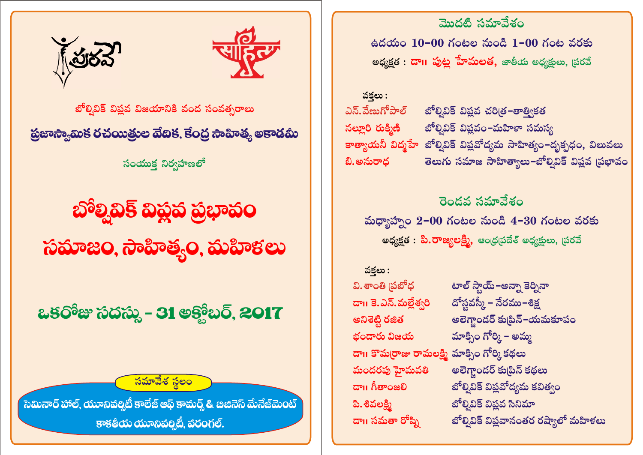

సమావేశ సలం

ఒకరోజు సదస్తు - 31 అక్తోబర్, 2017

ಸಮಾಜಂ, ನಾವಿಾತ್ತ್ಯಂ, ಮವಿಾಕಲು

හිම් නම් නිස් නිස් නිස්

సంయుక్త నిర్వహణలో

ప్రజాస్యామిక రచయిత్రుల వేబిక, కేంద్ర సాహిత్య అకాడమీ

బోల్వివిక్ విష్ణవ విజయానికి వంద సంవత్సరాలు





మొదటి సమావేశం

వక్తలు : వి. శాంతి (పబోధ డా॥ కె.ఎన్.మల్లేశ్వరి అనిశెట్టి రజిత భందారు విజయ డా॥ కొమర్రాజు రామలక్ష్మి మాక్సిం గోర్కి కథలు మందరపు హైమవతి மே நிலை ம పి. శివలక్ని డా॥ సమతా రోష్ని

టాల్ స్టాయ్–అన్నా కెర్నినా దోస్టవస్కీ – నేరము–శిక్ష అలెగ్లాందర్ కు[పిన్-యమకూపం మాక్సిం గోర్కి – అమ్మ అలెగ్తాండర్ కు[పిన్ కథలు బోల్సివిక్ విప్లవోద్యమ కవిత్వం బోల్సివిక్ విప్లవ సినిమా బోల్వివిక్ విష్ణవానంతర రష్యాలో మహిళలు

రెండవ సమావేశం మధ్యాహ్నం 2-00 గంటల నుండి 4-30 గంటల వరకు <mark>అధ్యక్షత : పి.రాజ్యలక్ష్మి,</mark> ఆంధ్రప్రదేశ్ అధ్యక్షులు, ప్రరవే

వకలు : బోల్నివిక్ విష్ణవ చరిత్ర-తాత్వికత ఎన్.వేణుగోపాల్ నల్లూరి రుక్మిణి బోల్వివిక్ విష్ణవం–మహిళా సమస్య కాత్యాయనీ విద్మహే బోల్వివిక్ విష్లవోద్యమ సాహిత్యం–దృక్పధం, విలువలు తెలుగు సమాజ సాహిత్యాలు–బోల్వివిక్ విష్ణవ (పభావం బి.అనురాధ

ఉదయం  $10-00$  గంటల నుండి  $1-00$  గంట వరకు <mark>అధ్యక్షత : దాıı పుట్ల హేమలత,</mark> జాతీయ అధ్యక్షులు, ప్రరవే